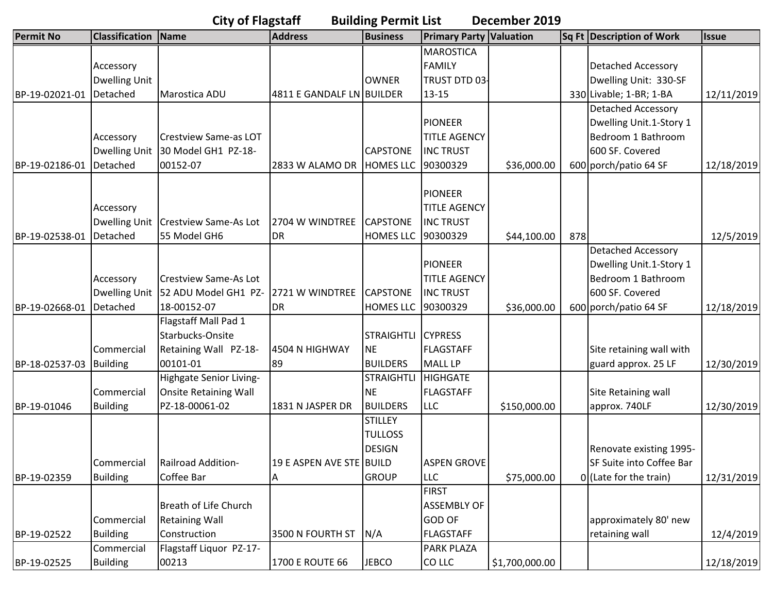| <b>Classification</b><br><b>Primary Party Valuation</b><br><b>Business</b><br>Sq Ft Description of Work<br>Name<br><b>Address</b><br><b>Issue</b><br><b>MAROSTICA</b><br>FAMILY<br><b>Detached Accessory</b><br>Accessory<br>Dwelling Unit<br>Dwelling Unit: 330-SF<br><b>OWNER</b><br>TRUST DTD 03-<br>Detached<br>4811 E GANDALF LN BUILDER<br>330 Livable; 1-BR; 1-BA<br>Marostica ADU<br>$13 - 15$<br><b>Detached Accessory</b><br>Dwelling Unit.1-Story 1<br><b>PIONEER</b><br>Bedroom 1 Bathroom<br><b>Crestview Same-as LOT</b><br><b>TITLE AGENCY</b><br>Accessory<br><b>Dwelling Unit</b><br>30 Model GH1 PZ-18-<br><b>INC TRUST</b><br>600 SF. Covered<br><b>CAPSTONE</b><br>Detached<br>00152-07<br><b>HOMES LLC</b><br>600 porch/patio 64 SF<br>2833 W ALAMO DR<br>90300329<br>\$36,000.00<br><b>PIONEER</b><br><b>TITLE AGENCY</b><br>Accessory<br><b>Dwelling Unit</b><br><b>Crestview Same-As Lot</b><br>2704 W WINDTREE<br><b>CAPSTONE</b><br><b>INC TRUST</b><br>\$44,100.00<br>12/5/2019<br>BP-19-02538-01<br>Detached<br>55 Model GH6<br><b>DR</b><br><b>HOMES LLC</b><br>90300329<br>878<br><b>Detached Accessory</b><br><b>PIONEER</b><br>Dwelling Unit.1-Story 1<br>Bedroom 1 Bathroom<br><b>Crestview Same-As Lot</b><br><b>TITLE AGENCY</b><br>Accessory<br><b>Dwelling Unit</b><br>600 SF. Covered<br>52 ADU Model GH1 PZ-<br>2721 W WINDTREE<br><b>CAPSTONE</b><br><b>INC TRUST</b><br>600 porch/patio 64 SF<br>Detached<br>18-00152-07<br><b>HOMES LLC</b><br>\$36,000.00<br><b>DR</b><br>90300329<br>Flagstaff Mall Pad 1<br>Starbucks-Onsite<br><b>STRAIGHTLI</b><br><b>CYPRESS</b><br>Site retaining wall with<br>Commercial<br>4504 N HIGHWAY<br><b>NE</b><br><b>FLAGSTAFF</b><br>Retaining Wall PZ-18-<br>MALL LP<br>guard approx. 25 LF<br>BP-18-02537-03 Building<br>00101-01<br>89<br><b>BUILDERS</b><br><b>STRAIGHTLI</b><br>Highgate Senior Living-<br><b>HIGHGATE</b><br><b>Onsite Retaining Wall</b><br><b>NE</b><br>FLAGSTAFF<br>Site Retaining wall<br>Commercial<br>PZ-18-00061-02<br>1831 N JASPER DR<br><b>BUILDERS</b><br><b>LLC</b><br>\$150,000.00<br>approx. 740LF<br><b>Building</b><br><b>STILLEY</b><br><b>TULLOSS</b><br><b>DESIGN</b><br>Renovate existing 1995-<br><b>ASPEN GROVE</b><br>Commercial<br>Railroad Addition-<br>19 E ASPEN AVE STE BUILD<br>SF Suite into Coffee Bar<br><b>GROUP</b><br><b>Building</b><br>Coffee Bar<br><b>LLC</b><br>\$75,000.00<br>0 (Late for the train)<br>12/31/2019<br>A<br><b>FIRST</b><br>Breath of Life Church<br><b>ASSEMBLY OF</b><br>Commercial<br><b>GOD OF</b><br><b>Retaining Wall</b><br>approximately 80' new<br>Construction<br>retaining wall<br><b>Building</b><br>3500 N FOURTH ST<br>N/A<br><b>FLAGSTAFF</b><br>12/4/2019<br>BP-19-02522<br>Flagstaff Liquor PZ-17-<br><b>PARK PLAZA</b><br>Commercial | <b>City of Flagstaff</b><br><b>Building Permit List</b><br>December 2019 |                 |       |                 |              |        |                |            |  |            |  |
|------------------------------------------------------------------------------------------------------------------------------------------------------------------------------------------------------------------------------------------------------------------------------------------------------------------------------------------------------------------------------------------------------------------------------------------------------------------------------------------------------------------------------------------------------------------------------------------------------------------------------------------------------------------------------------------------------------------------------------------------------------------------------------------------------------------------------------------------------------------------------------------------------------------------------------------------------------------------------------------------------------------------------------------------------------------------------------------------------------------------------------------------------------------------------------------------------------------------------------------------------------------------------------------------------------------------------------------------------------------------------------------------------------------------------------------------------------------------------------------------------------------------------------------------------------------------------------------------------------------------------------------------------------------------------------------------------------------------------------------------------------------------------------------------------------------------------------------------------------------------------------------------------------------------------------------------------------------------------------------------------------------------------------------------------------------------------------------------------------------------------------------------------------------------------------------------------------------------------------------------------------------------------------------------------------------------------------------------------------------------------------------------------------------------------------------------------------------------------------------------------------------------------------------------------------------------------------------------------------------------------------------------------------------------------------------------------------------------------------------------------------------------------------------------------------------|--------------------------------------------------------------------------|-----------------|-------|-----------------|--------------|--------|----------------|------------|--|------------|--|
|                                                                                                                                                                                                                                                                                                                                                                                                                                                                                                                                                                                                                                                                                                                                                                                                                                                                                                                                                                                                                                                                                                                                                                                                                                                                                                                                                                                                                                                                                                                                                                                                                                                                                                                                                                                                                                                                                                                                                                                                                                                                                                                                                                                                                                                                                                                                                                                                                                                                                                                                                                                                                                                                                                                                                                                                                  | <b>Permit No</b>                                                         |                 |       |                 |              |        |                |            |  |            |  |
|                                                                                                                                                                                                                                                                                                                                                                                                                                                                                                                                                                                                                                                                                                                                                                                                                                                                                                                                                                                                                                                                                                                                                                                                                                                                                                                                                                                                                                                                                                                                                                                                                                                                                                                                                                                                                                                                                                                                                                                                                                                                                                                                                                                                                                                                                                                                                                                                                                                                                                                                                                                                                                                                                                                                                                                                                  |                                                                          |                 |       |                 |              |        |                |            |  |            |  |
|                                                                                                                                                                                                                                                                                                                                                                                                                                                                                                                                                                                                                                                                                                                                                                                                                                                                                                                                                                                                                                                                                                                                                                                                                                                                                                                                                                                                                                                                                                                                                                                                                                                                                                                                                                                                                                                                                                                                                                                                                                                                                                                                                                                                                                                                                                                                                                                                                                                                                                                                                                                                                                                                                                                                                                                                                  |                                                                          |                 |       |                 |              |        |                |            |  |            |  |
|                                                                                                                                                                                                                                                                                                                                                                                                                                                                                                                                                                                                                                                                                                                                                                                                                                                                                                                                                                                                                                                                                                                                                                                                                                                                                                                                                                                                                                                                                                                                                                                                                                                                                                                                                                                                                                                                                                                                                                                                                                                                                                                                                                                                                                                                                                                                                                                                                                                                                                                                                                                                                                                                                                                                                                                                                  |                                                                          |                 |       |                 |              |        |                |            |  |            |  |
|                                                                                                                                                                                                                                                                                                                                                                                                                                                                                                                                                                                                                                                                                                                                                                                                                                                                                                                                                                                                                                                                                                                                                                                                                                                                                                                                                                                                                                                                                                                                                                                                                                                                                                                                                                                                                                                                                                                                                                                                                                                                                                                                                                                                                                                                                                                                                                                                                                                                                                                                                                                                                                                                                                                                                                                                                  | BP-19-02021-01                                                           |                 |       |                 |              |        |                | 12/11/2019 |  |            |  |
|                                                                                                                                                                                                                                                                                                                                                                                                                                                                                                                                                                                                                                                                                                                                                                                                                                                                                                                                                                                                                                                                                                                                                                                                                                                                                                                                                                                                                                                                                                                                                                                                                                                                                                                                                                                                                                                                                                                                                                                                                                                                                                                                                                                                                                                                                                                                                                                                                                                                                                                                                                                                                                                                                                                                                                                                                  |                                                                          |                 |       |                 |              |        |                |            |  |            |  |
|                                                                                                                                                                                                                                                                                                                                                                                                                                                                                                                                                                                                                                                                                                                                                                                                                                                                                                                                                                                                                                                                                                                                                                                                                                                                                                                                                                                                                                                                                                                                                                                                                                                                                                                                                                                                                                                                                                                                                                                                                                                                                                                                                                                                                                                                                                                                                                                                                                                                                                                                                                                                                                                                                                                                                                                                                  |                                                                          |                 |       |                 |              |        |                |            |  |            |  |
|                                                                                                                                                                                                                                                                                                                                                                                                                                                                                                                                                                                                                                                                                                                                                                                                                                                                                                                                                                                                                                                                                                                                                                                                                                                                                                                                                                                                                                                                                                                                                                                                                                                                                                                                                                                                                                                                                                                                                                                                                                                                                                                                                                                                                                                                                                                                                                                                                                                                                                                                                                                                                                                                                                                                                                                                                  |                                                                          |                 |       |                 |              |        |                |            |  |            |  |
|                                                                                                                                                                                                                                                                                                                                                                                                                                                                                                                                                                                                                                                                                                                                                                                                                                                                                                                                                                                                                                                                                                                                                                                                                                                                                                                                                                                                                                                                                                                                                                                                                                                                                                                                                                                                                                                                                                                                                                                                                                                                                                                                                                                                                                                                                                                                                                                                                                                                                                                                                                                                                                                                                                                                                                                                                  |                                                                          |                 |       |                 |              |        |                |            |  |            |  |
|                                                                                                                                                                                                                                                                                                                                                                                                                                                                                                                                                                                                                                                                                                                                                                                                                                                                                                                                                                                                                                                                                                                                                                                                                                                                                                                                                                                                                                                                                                                                                                                                                                                                                                                                                                                                                                                                                                                                                                                                                                                                                                                                                                                                                                                                                                                                                                                                                                                                                                                                                                                                                                                                                                                                                                                                                  | BP-19-02186-01                                                           |                 |       |                 |              |        |                |            |  | 12/18/2019 |  |
|                                                                                                                                                                                                                                                                                                                                                                                                                                                                                                                                                                                                                                                                                                                                                                                                                                                                                                                                                                                                                                                                                                                                                                                                                                                                                                                                                                                                                                                                                                                                                                                                                                                                                                                                                                                                                                                                                                                                                                                                                                                                                                                                                                                                                                                                                                                                                                                                                                                                                                                                                                                                                                                                                                                                                                                                                  |                                                                          |                 |       |                 |              |        |                |            |  |            |  |
|                                                                                                                                                                                                                                                                                                                                                                                                                                                                                                                                                                                                                                                                                                                                                                                                                                                                                                                                                                                                                                                                                                                                                                                                                                                                                                                                                                                                                                                                                                                                                                                                                                                                                                                                                                                                                                                                                                                                                                                                                                                                                                                                                                                                                                                                                                                                                                                                                                                                                                                                                                                                                                                                                                                                                                                                                  |                                                                          |                 |       |                 |              |        |                |            |  |            |  |
|                                                                                                                                                                                                                                                                                                                                                                                                                                                                                                                                                                                                                                                                                                                                                                                                                                                                                                                                                                                                                                                                                                                                                                                                                                                                                                                                                                                                                                                                                                                                                                                                                                                                                                                                                                                                                                                                                                                                                                                                                                                                                                                                                                                                                                                                                                                                                                                                                                                                                                                                                                                                                                                                                                                                                                                                                  |                                                                          |                 |       |                 |              |        |                |            |  |            |  |
|                                                                                                                                                                                                                                                                                                                                                                                                                                                                                                                                                                                                                                                                                                                                                                                                                                                                                                                                                                                                                                                                                                                                                                                                                                                                                                                                                                                                                                                                                                                                                                                                                                                                                                                                                                                                                                                                                                                                                                                                                                                                                                                                                                                                                                                                                                                                                                                                                                                                                                                                                                                                                                                                                                                                                                                                                  |                                                                          |                 |       |                 |              |        |                |            |  |            |  |
|                                                                                                                                                                                                                                                                                                                                                                                                                                                                                                                                                                                                                                                                                                                                                                                                                                                                                                                                                                                                                                                                                                                                                                                                                                                                                                                                                                                                                                                                                                                                                                                                                                                                                                                                                                                                                                                                                                                                                                                                                                                                                                                                                                                                                                                                                                                                                                                                                                                                                                                                                                                                                                                                                                                                                                                                                  |                                                                          |                 |       |                 |              |        |                |            |  |            |  |
|                                                                                                                                                                                                                                                                                                                                                                                                                                                                                                                                                                                                                                                                                                                                                                                                                                                                                                                                                                                                                                                                                                                                                                                                                                                                                                                                                                                                                                                                                                                                                                                                                                                                                                                                                                                                                                                                                                                                                                                                                                                                                                                                                                                                                                                                                                                                                                                                                                                                                                                                                                                                                                                                                                                                                                                                                  |                                                                          |                 |       |                 |              |        |                |            |  |            |  |
|                                                                                                                                                                                                                                                                                                                                                                                                                                                                                                                                                                                                                                                                                                                                                                                                                                                                                                                                                                                                                                                                                                                                                                                                                                                                                                                                                                                                                                                                                                                                                                                                                                                                                                                                                                                                                                                                                                                                                                                                                                                                                                                                                                                                                                                                                                                                                                                                                                                                                                                                                                                                                                                                                                                                                                                                                  |                                                                          |                 |       |                 |              |        |                |            |  |            |  |
|                                                                                                                                                                                                                                                                                                                                                                                                                                                                                                                                                                                                                                                                                                                                                                                                                                                                                                                                                                                                                                                                                                                                                                                                                                                                                                                                                                                                                                                                                                                                                                                                                                                                                                                                                                                                                                                                                                                                                                                                                                                                                                                                                                                                                                                                                                                                                                                                                                                                                                                                                                                                                                                                                                                                                                                                                  |                                                                          |                 |       |                 |              |        |                |            |  |            |  |
|                                                                                                                                                                                                                                                                                                                                                                                                                                                                                                                                                                                                                                                                                                                                                                                                                                                                                                                                                                                                                                                                                                                                                                                                                                                                                                                                                                                                                                                                                                                                                                                                                                                                                                                                                                                                                                                                                                                                                                                                                                                                                                                                                                                                                                                                                                                                                                                                                                                                                                                                                                                                                                                                                                                                                                                                                  |                                                                          |                 |       |                 |              |        |                |            |  |            |  |
|                                                                                                                                                                                                                                                                                                                                                                                                                                                                                                                                                                                                                                                                                                                                                                                                                                                                                                                                                                                                                                                                                                                                                                                                                                                                                                                                                                                                                                                                                                                                                                                                                                                                                                                                                                                                                                                                                                                                                                                                                                                                                                                                                                                                                                                                                                                                                                                                                                                                                                                                                                                                                                                                                                                                                                                                                  | BP-19-02668-01                                                           |                 |       |                 |              |        |                |            |  | 12/18/2019 |  |
|                                                                                                                                                                                                                                                                                                                                                                                                                                                                                                                                                                                                                                                                                                                                                                                                                                                                                                                                                                                                                                                                                                                                                                                                                                                                                                                                                                                                                                                                                                                                                                                                                                                                                                                                                                                                                                                                                                                                                                                                                                                                                                                                                                                                                                                                                                                                                                                                                                                                                                                                                                                                                                                                                                                                                                                                                  |                                                                          |                 |       |                 |              |        |                |            |  |            |  |
|                                                                                                                                                                                                                                                                                                                                                                                                                                                                                                                                                                                                                                                                                                                                                                                                                                                                                                                                                                                                                                                                                                                                                                                                                                                                                                                                                                                                                                                                                                                                                                                                                                                                                                                                                                                                                                                                                                                                                                                                                                                                                                                                                                                                                                                                                                                                                                                                                                                                                                                                                                                                                                                                                                                                                                                                                  |                                                                          |                 |       |                 |              |        |                |            |  |            |  |
|                                                                                                                                                                                                                                                                                                                                                                                                                                                                                                                                                                                                                                                                                                                                                                                                                                                                                                                                                                                                                                                                                                                                                                                                                                                                                                                                                                                                                                                                                                                                                                                                                                                                                                                                                                                                                                                                                                                                                                                                                                                                                                                                                                                                                                                                                                                                                                                                                                                                                                                                                                                                                                                                                                                                                                                                                  |                                                                          |                 |       |                 |              |        |                |            |  |            |  |
|                                                                                                                                                                                                                                                                                                                                                                                                                                                                                                                                                                                                                                                                                                                                                                                                                                                                                                                                                                                                                                                                                                                                                                                                                                                                                                                                                                                                                                                                                                                                                                                                                                                                                                                                                                                                                                                                                                                                                                                                                                                                                                                                                                                                                                                                                                                                                                                                                                                                                                                                                                                                                                                                                                                                                                                                                  |                                                                          |                 |       |                 |              |        |                |            |  | 12/30/2019 |  |
|                                                                                                                                                                                                                                                                                                                                                                                                                                                                                                                                                                                                                                                                                                                                                                                                                                                                                                                                                                                                                                                                                                                                                                                                                                                                                                                                                                                                                                                                                                                                                                                                                                                                                                                                                                                                                                                                                                                                                                                                                                                                                                                                                                                                                                                                                                                                                                                                                                                                                                                                                                                                                                                                                                                                                                                                                  |                                                                          |                 |       |                 |              |        |                |            |  |            |  |
|                                                                                                                                                                                                                                                                                                                                                                                                                                                                                                                                                                                                                                                                                                                                                                                                                                                                                                                                                                                                                                                                                                                                                                                                                                                                                                                                                                                                                                                                                                                                                                                                                                                                                                                                                                                                                                                                                                                                                                                                                                                                                                                                                                                                                                                                                                                                                                                                                                                                                                                                                                                                                                                                                                                                                                                                                  |                                                                          |                 |       |                 |              |        |                |            |  |            |  |
|                                                                                                                                                                                                                                                                                                                                                                                                                                                                                                                                                                                                                                                                                                                                                                                                                                                                                                                                                                                                                                                                                                                                                                                                                                                                                                                                                                                                                                                                                                                                                                                                                                                                                                                                                                                                                                                                                                                                                                                                                                                                                                                                                                                                                                                                                                                                                                                                                                                                                                                                                                                                                                                                                                                                                                                                                  | BP-19-01046                                                              |                 |       |                 |              |        |                |            |  | 12/30/2019 |  |
|                                                                                                                                                                                                                                                                                                                                                                                                                                                                                                                                                                                                                                                                                                                                                                                                                                                                                                                                                                                                                                                                                                                                                                                                                                                                                                                                                                                                                                                                                                                                                                                                                                                                                                                                                                                                                                                                                                                                                                                                                                                                                                                                                                                                                                                                                                                                                                                                                                                                                                                                                                                                                                                                                                                                                                                                                  |                                                                          |                 |       |                 |              |        |                |            |  |            |  |
|                                                                                                                                                                                                                                                                                                                                                                                                                                                                                                                                                                                                                                                                                                                                                                                                                                                                                                                                                                                                                                                                                                                                                                                                                                                                                                                                                                                                                                                                                                                                                                                                                                                                                                                                                                                                                                                                                                                                                                                                                                                                                                                                                                                                                                                                                                                                                                                                                                                                                                                                                                                                                                                                                                                                                                                                                  |                                                                          |                 |       |                 |              |        |                |            |  |            |  |
|                                                                                                                                                                                                                                                                                                                                                                                                                                                                                                                                                                                                                                                                                                                                                                                                                                                                                                                                                                                                                                                                                                                                                                                                                                                                                                                                                                                                                                                                                                                                                                                                                                                                                                                                                                                                                                                                                                                                                                                                                                                                                                                                                                                                                                                                                                                                                                                                                                                                                                                                                                                                                                                                                                                                                                                                                  |                                                                          |                 |       |                 |              |        |                |            |  |            |  |
|                                                                                                                                                                                                                                                                                                                                                                                                                                                                                                                                                                                                                                                                                                                                                                                                                                                                                                                                                                                                                                                                                                                                                                                                                                                                                                                                                                                                                                                                                                                                                                                                                                                                                                                                                                                                                                                                                                                                                                                                                                                                                                                                                                                                                                                                                                                                                                                                                                                                                                                                                                                                                                                                                                                                                                                                                  |                                                                          |                 |       |                 |              |        |                |            |  |            |  |
|                                                                                                                                                                                                                                                                                                                                                                                                                                                                                                                                                                                                                                                                                                                                                                                                                                                                                                                                                                                                                                                                                                                                                                                                                                                                                                                                                                                                                                                                                                                                                                                                                                                                                                                                                                                                                                                                                                                                                                                                                                                                                                                                                                                                                                                                                                                                                                                                                                                                                                                                                                                                                                                                                                                                                                                                                  | BP-19-02359                                                              |                 |       |                 |              |        |                |            |  |            |  |
|                                                                                                                                                                                                                                                                                                                                                                                                                                                                                                                                                                                                                                                                                                                                                                                                                                                                                                                                                                                                                                                                                                                                                                                                                                                                                                                                                                                                                                                                                                                                                                                                                                                                                                                                                                                                                                                                                                                                                                                                                                                                                                                                                                                                                                                                                                                                                                                                                                                                                                                                                                                                                                                                                                                                                                                                                  |                                                                          |                 |       |                 |              |        |                |            |  |            |  |
|                                                                                                                                                                                                                                                                                                                                                                                                                                                                                                                                                                                                                                                                                                                                                                                                                                                                                                                                                                                                                                                                                                                                                                                                                                                                                                                                                                                                                                                                                                                                                                                                                                                                                                                                                                                                                                                                                                                                                                                                                                                                                                                                                                                                                                                                                                                                                                                                                                                                                                                                                                                                                                                                                                                                                                                                                  |                                                                          |                 |       |                 |              |        |                |            |  |            |  |
|                                                                                                                                                                                                                                                                                                                                                                                                                                                                                                                                                                                                                                                                                                                                                                                                                                                                                                                                                                                                                                                                                                                                                                                                                                                                                                                                                                                                                                                                                                                                                                                                                                                                                                                                                                                                                                                                                                                                                                                                                                                                                                                                                                                                                                                                                                                                                                                                                                                                                                                                                                                                                                                                                                                                                                                                                  |                                                                          |                 |       |                 |              |        |                |            |  |            |  |
|                                                                                                                                                                                                                                                                                                                                                                                                                                                                                                                                                                                                                                                                                                                                                                                                                                                                                                                                                                                                                                                                                                                                                                                                                                                                                                                                                                                                                                                                                                                                                                                                                                                                                                                                                                                                                                                                                                                                                                                                                                                                                                                                                                                                                                                                                                                                                                                                                                                                                                                                                                                                                                                                                                                                                                                                                  |                                                                          |                 |       |                 |              |        |                |            |  |            |  |
|                                                                                                                                                                                                                                                                                                                                                                                                                                                                                                                                                                                                                                                                                                                                                                                                                                                                                                                                                                                                                                                                                                                                                                                                                                                                                                                                                                                                                                                                                                                                                                                                                                                                                                                                                                                                                                                                                                                                                                                                                                                                                                                                                                                                                                                                                                                                                                                                                                                                                                                                                                                                                                                                                                                                                                                                                  |                                                                          |                 |       |                 |              |        |                |            |  |            |  |
|                                                                                                                                                                                                                                                                                                                                                                                                                                                                                                                                                                                                                                                                                                                                                                                                                                                                                                                                                                                                                                                                                                                                                                                                                                                                                                                                                                                                                                                                                                                                                                                                                                                                                                                                                                                                                                                                                                                                                                                                                                                                                                                                                                                                                                                                                                                                                                                                                                                                                                                                                                                                                                                                                                                                                                                                                  | BP-19-02525                                                              | <b>Building</b> | 00213 | 1700 E ROUTE 66 | <b>JEBCO</b> | CO LLC | \$1,700,000.00 |            |  | 12/18/2019 |  |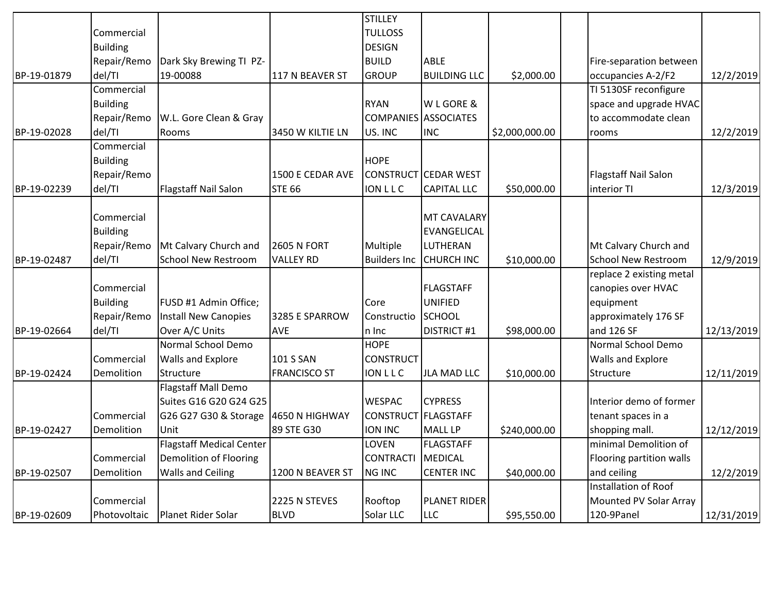|             |                 |                                 |                     | <b>STILLEY</b>      |                             |                |                             |            |
|-------------|-----------------|---------------------------------|---------------------|---------------------|-----------------------------|----------------|-----------------------------|------------|
|             | Commercial      |                                 |                     | <b>TULLOSS</b>      |                             |                |                             |            |
|             | <b>Building</b> |                                 |                     | <b>DESIGN</b>       |                             |                |                             |            |
|             | Repair/Remo     | Dark Sky Brewing TI PZ-         |                     | <b>BUILD</b>        | ABLE                        |                | Fire-separation between     |            |
| BP-19-01879 | del/TI          | 19-00088                        | 117 N BEAVER ST     | <b>GROUP</b>        | <b>BUILDING LLC</b>         | \$2,000.00     | occupancies A-2/F2          | 12/2/2019  |
|             | Commercial      |                                 |                     |                     |                             |                | TI 5130SF reconfigure       |            |
|             | <b>Building</b> |                                 |                     | <b>RYAN</b>         | W L GORE &                  |                | space and upgrade HVAC      |            |
|             | Repair/Remo     | W.L. Gore Clean & Gray          |                     |                     | <b>COMPANIES ASSOCIATES</b> |                | to accommodate clean        |            |
| BP-19-02028 | del/TI          | Rooms                           | 3450 W KILTIE LN    | US. INC             | <b>INC</b>                  | \$2,000,000.00 | rooms                       | 12/2/2019  |
|             | Commercial      |                                 |                     |                     |                             |                |                             |            |
|             | <b>Building</b> |                                 |                     | <b>HOPE</b>         |                             |                |                             |            |
|             | Repair/Remo     |                                 | 1500 E CEDAR AVE    |                     | <b>CONSTRUCT CEDAR WEST</b> |                | <b>Flagstaff Nail Salon</b> |            |
| BP-19-02239 | del/TI          | Flagstaff Nail Salon            | <b>STE 66</b>       | <b>ION LLC</b>      | <b>CAPITAL LLC</b>          | \$50,000.00    | interior TI                 | 12/3/2019  |
|             |                 |                                 |                     |                     |                             |                |                             |            |
|             | Commercial      |                                 |                     |                     | MT CAVALARY                 |                |                             |            |
|             | <b>Building</b> |                                 |                     |                     | <b>EVANGELICAL</b>          |                |                             |            |
|             | Repair/Remo     | Mt Calvary Church and           | <b>2605 N FORT</b>  | Multiple            | LUTHERAN                    |                | Mt Calvary Church and       |            |
| BP-19-02487 | del/TI          | <b>School New Restroom</b>      | <b>VALLEY RD</b>    | <b>Builders Inc</b> | <b>CHURCH INC</b>           | \$10,000.00    | <b>School New Restroom</b>  | 12/9/2019  |
|             |                 |                                 |                     |                     |                             |                | replace 2 existing metal    |            |
|             | Commercial      |                                 |                     |                     | <b>FLAGSTAFF</b>            |                | canopies over HVAC          |            |
|             | <b>Building</b> | FUSD #1 Admin Office;           |                     | Core                | <b>UNIFIED</b>              |                | equipment                   |            |
|             | Repair/Remo     | Install New Canopies            | 3285 E SPARROW      | Constructio         | SCHOOL                      |                | approximately 176 SF        |            |
| BP-19-02664 | del/TI          | Over A/C Units                  | <b>AVE</b>          | n Inc               | <b>DISTRICT #1</b>          | \$98,000.00    | and 126 SF                  | 12/13/2019 |
|             |                 | Normal School Demo              |                     | <b>HOPE</b>         |                             |                | Normal School Demo          |            |
|             | Commercial      | Walls and Explore               | 101 S SAN           | <b>CONSTRUCT</b>    |                             |                | Walls and Explore           |            |
| BP-19-02424 | Demolition      | Structure                       | <b>FRANCISCO ST</b> | <b>ION LLC</b>      | JLA MAD LLC                 | \$10,000.00    | Structure                   | 12/11/2019 |
|             |                 | Flagstaff Mall Demo             |                     |                     |                             |                |                             |            |
|             |                 | Suites G16 G20 G24 G25          |                     | <b>WESPAC</b>       | <b>CYPRESS</b>              |                | Interior demo of former     |            |
|             | Commercial      | G26 G27 G30 & Storage           | 4650 N HIGHWAY      | CONSTRUCT FLAGSTAFF |                             |                | tenant spaces in a          |            |
| BP-19-02427 | Demolition      | Unit                            | 89 STE G30          | <b>ION INC</b>      | <b>MALL LP</b>              | \$240,000.00   | shopping mall.              | 12/12/2019 |
|             |                 | <b>Flagstaff Medical Center</b> |                     | LOVEN               | <b>FLAGSTAFF</b>            |                | minimal Demolition of       |            |
|             | Commercial      | Demolition of Flooring          |                     | <b>CONTRACTI</b>    | MEDICAL                     |                | Flooring partition walls    |            |
| BP-19-02507 | Demolition      | <b>Walls and Ceiling</b>        | 1200 N BEAVER ST    | <b>NG INC</b>       | <b>CENTER INC</b>           | \$40,000.00    | and ceiling                 | 12/2/2019  |
|             |                 |                                 |                     |                     |                             |                | Installation of Roof        |            |
|             | Commercial      |                                 | 2225 N STEVES       | Rooftop             | PLANET RIDER                |                | Mounted PV Solar Array      |            |
| BP-19-02609 | Photovoltaic    | Planet Rider Solar              | <b>BLVD</b>         | Solar LLC           | <b>LLC</b>                  | \$95,550.00    | 120-9Panel                  | 12/31/2019 |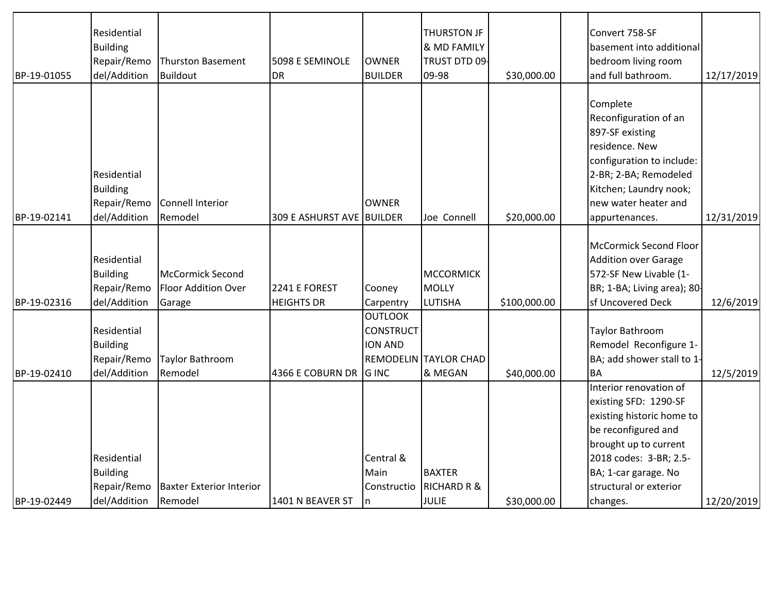|             | Residential     |                                 |                           |                  | <b>THURSTON JF</b>           |              | Convert 758-SF                |            |
|-------------|-----------------|---------------------------------|---------------------------|------------------|------------------------------|--------------|-------------------------------|------------|
|             | <b>Building</b> |                                 |                           |                  | & MD FAMILY                  |              | basement into additional      |            |
|             | Repair/Remo     | <b>Thurston Basement</b>        | 5098 E SEMINOLE           | <b>OWNER</b>     | TRUST DTD 09                 |              | bedroom living room           |            |
| BP-19-01055 | del/Addition    | <b>Buildout</b>                 | <b>DR</b>                 | <b>BUILDER</b>   | 09-98                        | \$30,000.00  | and full bathroom.            | 12/17/2019 |
|             |                 |                                 |                           |                  |                              |              |                               |            |
|             |                 |                                 |                           |                  |                              |              | Complete                      |            |
|             |                 |                                 |                           |                  |                              |              | Reconfiguration of an         |            |
|             |                 |                                 |                           |                  |                              |              | 897-SF existing               |            |
|             |                 |                                 |                           |                  |                              |              | residence. New                |            |
|             |                 |                                 |                           |                  |                              |              | configuration to include:     |            |
|             | Residential     |                                 |                           |                  |                              |              | 2-BR; 2-BA; Remodeled         |            |
|             | <b>Building</b> |                                 |                           |                  |                              |              | Kitchen; Laundry nook;        |            |
|             | Repair/Remo     | Connell Interior                |                           | <b>OWNER</b>     |                              |              | new water heater and          |            |
| BP-19-02141 | del/Addition    | Remodel                         | 309 E ASHURST AVE BUILDER |                  | Joe Connell                  | \$20,000.00  | appurtenances.                | 12/31/2019 |
|             |                 |                                 |                           |                  |                              |              |                               |            |
|             |                 |                                 |                           |                  |                              |              | <b>McCormick Second Floor</b> |            |
|             | Residential     |                                 |                           |                  |                              |              | <b>Addition over Garage</b>   |            |
|             | <b>Building</b> | McCormick Second                |                           |                  | MCCORMICK                    |              | 572-SF New Livable (1-        |            |
|             | Repair/Remo     | Floor Addition Over             | 2241 E FOREST             | Cooney           | MOLLY                        |              | BR; 1-BA; Living area); 80-   |            |
| BP-19-02316 | del/Addition    | Garage                          | <b>HEIGHTS DR</b>         | Carpentry        | LUTISHA                      | \$100,000.00 | sf Uncovered Deck             | 12/6/2019  |
|             |                 |                                 |                           | <b>OUTLOOK</b>   |                              |              |                               |            |
|             | Residential     |                                 |                           | <b>CONSTRUCT</b> |                              |              | Taylor Bathroom               |            |
|             | <b>Building</b> |                                 |                           | <b>ION AND</b>   |                              |              | Remodel Reconfigure 1-        |            |
|             | Repair/Remo     | Taylor Bathroom                 |                           |                  | <b>REMODELIN TAYLOR CHAD</b> |              | BA; add shower stall to 1-    |            |
| BP-19-02410 | del/Addition    | Remodel                         | 4366 E COBURN DR          | <b>GINC</b>      | & MEGAN                      | \$40,000.00  | <b>BA</b>                     | 12/5/2019  |
|             |                 |                                 |                           |                  |                              |              | Interior renovation of        |            |
|             |                 |                                 |                           |                  |                              |              | existing SFD: 1290-SF         |            |
|             |                 |                                 |                           |                  |                              |              | existing historic home to     |            |
|             |                 |                                 |                           |                  |                              |              | be reconfigured and           |            |
|             |                 |                                 |                           |                  |                              |              | brought up to current         |            |
|             | Residential     |                                 |                           | Central &        |                              |              | 2018 codes: 3-BR; 2.5-        |            |
|             | <b>Building</b> |                                 |                           | Main             | <b>BAXTER</b>                |              | BA; 1-car garage. No          |            |
|             | Repair/Remo     | <b>Baxter Exterior Interior</b> |                           | Constructio      | <b>RICHARD R &amp;</b>       |              | structural or exterior        |            |
| BP-19-02449 | del/Addition    | Remodel                         | 1401 N BEAVER ST          | m                | JULIE                        | \$30,000.00  | changes.                      | 12/20/2019 |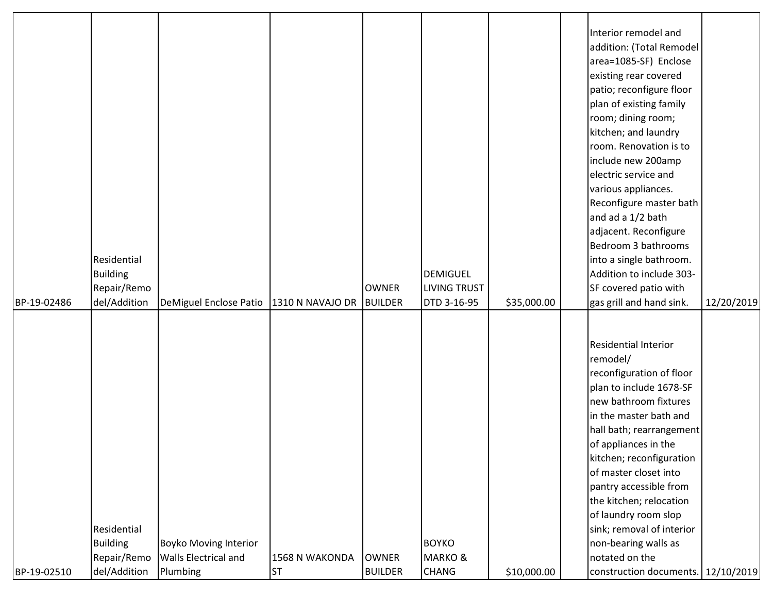|             |                 |                              |                          |                |                     |             | Interior remodel and               |            |
|-------------|-----------------|------------------------------|--------------------------|----------------|---------------------|-------------|------------------------------------|------------|
|             |                 |                              |                          |                |                     |             | addition: (Total Remodel           |            |
|             |                 |                              |                          |                |                     |             | area=1085-SF) Enclose              |            |
|             |                 |                              |                          |                |                     |             | existing rear covered              |            |
|             |                 |                              |                          |                |                     |             | patio; reconfigure floor           |            |
|             |                 |                              |                          |                |                     |             | plan of existing family            |            |
|             |                 |                              |                          |                |                     |             | room; dining room;                 |            |
|             |                 |                              |                          |                |                     |             | kitchen; and laundry               |            |
|             |                 |                              |                          |                |                     |             | room. Renovation is to             |            |
|             |                 |                              |                          |                |                     |             | include new 200amp                 |            |
|             |                 |                              |                          |                |                     |             | electric service and               |            |
|             |                 |                              |                          |                |                     |             | various appliances.                |            |
|             |                 |                              |                          |                |                     |             | Reconfigure master bath            |            |
|             |                 |                              |                          |                |                     |             | and ad a 1/2 bath                  |            |
|             |                 |                              |                          |                |                     |             | adjacent. Reconfigure              |            |
|             |                 |                              |                          |                |                     |             | Bedroom 3 bathrooms                |            |
|             | Residential     |                              |                          |                |                     |             | into a single bathroom.            |            |
|             | <b>Building</b> |                              |                          |                | <b>DEMIGUEL</b>     |             | Addition to include 303-           |            |
|             | Repair/Remo     |                              |                          | <b>OWNER</b>   | <b>LIVING TRUST</b> |             | SF covered patio with              |            |
| BP-19-02486 | del/Addition    | DeMiguel Enclose Patio       | 1310 N NAVAJO DR BUILDER |                | DTD 3-16-95         | \$35,000.00 | gas grill and hand sink.           | 12/20/2019 |
|             |                 |                              |                          |                |                     |             |                                    |            |
|             |                 |                              |                          |                |                     |             |                                    |            |
|             |                 |                              |                          |                |                     |             | <b>Residential Interior</b>        |            |
|             |                 |                              |                          |                |                     |             | remodel/                           |            |
|             |                 |                              |                          |                |                     |             | reconfiguration of floor           |            |
|             |                 |                              |                          |                |                     |             | plan to include 1678-SF            |            |
|             |                 |                              |                          |                |                     |             | new bathroom fixtures              |            |
|             |                 |                              |                          |                |                     |             | in the master bath and             |            |
|             |                 |                              |                          |                |                     |             | hall bath; rearrangement           |            |
|             |                 |                              |                          |                |                     |             | of appliances in the               |            |
|             |                 |                              |                          |                |                     |             | kitchen; reconfiguration           |            |
|             |                 |                              |                          |                |                     |             | of master closet into              |            |
|             |                 |                              |                          |                |                     |             | pantry accessible from             |            |
|             |                 |                              |                          |                |                     |             | the kitchen; relocation            |            |
|             |                 |                              |                          |                |                     |             | of laundry room slop               |            |
|             | Residential     |                              |                          |                |                     |             | sink; removal of interior          |            |
|             | <b>Building</b> | <b>Boyko Moving Interior</b> |                          |                | <b>BOYKO</b>        |             | non-bearing walls as               |            |
|             | Repair/Remo     | <b>Walls Electrical and</b>  | 1568 N WAKONDA           | <b>OWNER</b>   | <b>MARKO &amp;</b>  |             | notated on the                     |            |
| BP-19-02510 | del/Addition    | Plumbing                     | <b>ST</b>                | <b>BUILDER</b> | <b>CHANG</b>        | \$10,000.00 | construction documents. 12/10/2019 |            |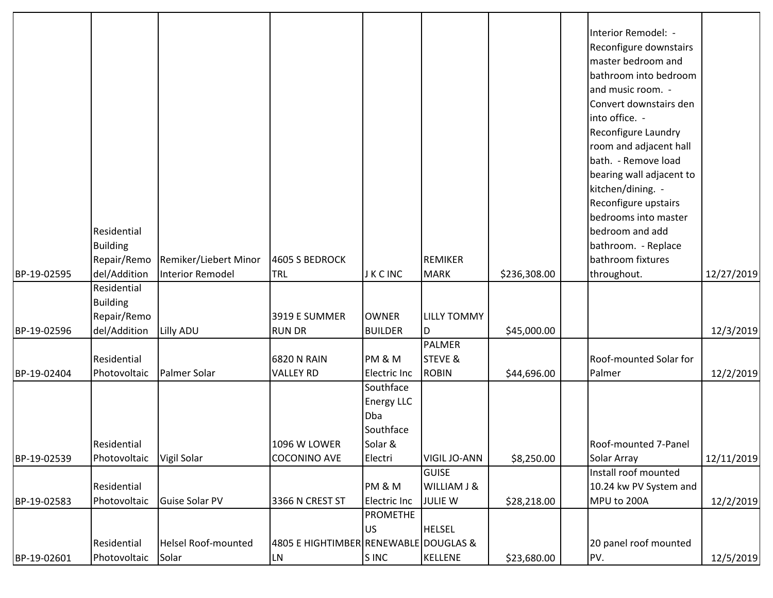| BP-19-02595 | Residential<br><b>Building</b><br>Repair/Remo<br>del/Addition | Remiker/Liebert Minor<br><b>Interior Remodel</b> | 4605 S BEDROCK<br>TRL                      | J K C INC                                                                | REMIKER<br>MARK                                          | \$236,308.00 | Interior Remodel: -<br>Reconfigure downstairs<br>master bedroom and<br>bathroom into bedroom<br>and music room. -<br>Convert downstairs den<br>into office. -<br>Reconfigure Laundry<br>room and adjacent hall<br>bath. - Remove load<br>bearing wall adjacent to<br>kitchen/dining. -<br>Reconfigure upstairs<br>bedrooms into master<br>bedroom and add<br>bathroom. - Replace<br>bathroom fixtures<br>throughout. | 12/27/2019 |
|-------------|---------------------------------------------------------------|--------------------------------------------------|--------------------------------------------|--------------------------------------------------------------------------|----------------------------------------------------------|--------------|----------------------------------------------------------------------------------------------------------------------------------------------------------------------------------------------------------------------------------------------------------------------------------------------------------------------------------------------------------------------------------------------------------------------|------------|
| BP-19-02596 | Residential<br><b>Building</b><br>Repair/Remo<br>del/Addition | Lilly ADU                                        | 3919 E SUMMER<br><b>RUN DR</b>             | <b>OWNER</b><br><b>BUILDER</b>                                           | <b>LILLY TOMMY</b><br>ID.                                | \$45,000.00  |                                                                                                                                                                                                                                                                                                                                                                                                                      | 12/3/2019  |
| BP-19-02404 | Residential<br>Photovoltaic                                   | Palmer Solar                                     | <b>6820 N RAIN</b><br><b>VALLEY RD</b>     | PM & M<br><b>Electric Inc</b>                                            | PALMER<br><b>STEVE &amp;</b><br>ROBIN                    | \$44,696.00  | Roof-mounted Solar for<br>Palmer                                                                                                                                                                                                                                                                                                                                                                                     | 12/2/2019  |
| BP-19-02539 | Residential<br>Photovoltaic                                   | Vigil Solar                                      | <b>1096 W LOWER</b><br><b>COCONINO AVE</b> | Southface<br><b>Energy LLC</b><br>Dba<br>Southface<br>Solar &<br>Electri | <b>VIGIL JO-ANN</b>                                      | \$8,250.00   | Roof-mounted 7-Panel<br>Solar Array                                                                                                                                                                                                                                                                                                                                                                                  | 12/11/2019 |
| BP-19-02583 | Residential<br>Photovoltaic                                   | <b>Guise Solar PV</b>                            | 3366 N CREST ST                            | PM & M<br><b>Electric Inc</b>                                            | <b>GUISE</b><br><b>WILLIAM J &amp;</b><br><b>JULIE W</b> | \$28,218.00  | Install roof mounted<br>10.24 kw PV System and<br>MPU to 200A                                                                                                                                                                                                                                                                                                                                                        | 12/2/2019  |
|             | Residential                                                   | <b>Helsel Roof-mounted</b>                       | 4805 E HIGHTIMBER RENEWABLE DOUGLAS &      | <b>PROMETHE</b><br><b>US</b>                                             | <b>HELSEL</b>                                            |              | 20 panel roof mounted                                                                                                                                                                                                                                                                                                                                                                                                |            |
| BP-19-02601 | Photovoltaic                                                  | Solar                                            | <b>LN</b>                                  | S INC                                                                    | KELLENE                                                  | \$23,680.00  | PV.                                                                                                                                                                                                                                                                                                                                                                                                                  | 12/5/2019  |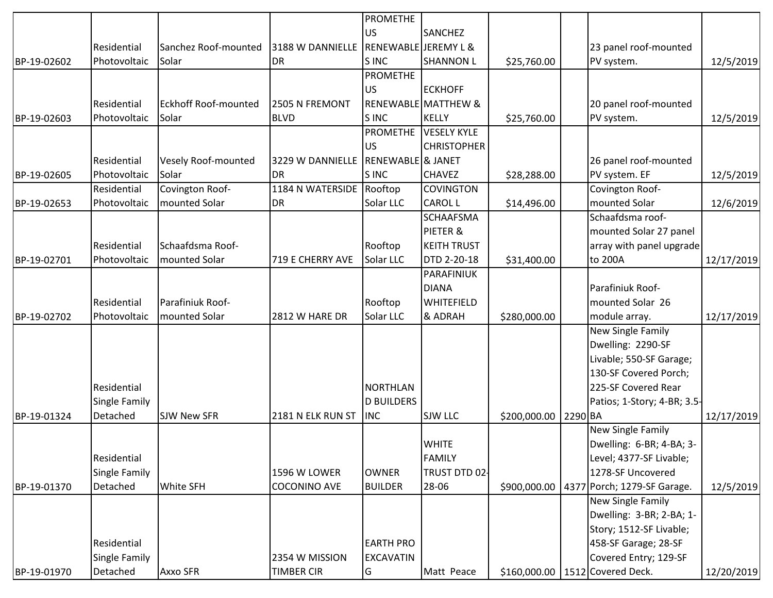|             |               |                             |                                    | <b>PROMETHE</b>                 |                                |              |         |                             |            |
|-------------|---------------|-----------------------------|------------------------------------|---------------------------------|--------------------------------|--------------|---------|-----------------------------|------------|
|             |               |                             |                                    | <b>US</b>                       | <b>SANCHEZ</b>                 |              |         |                             |            |
|             | Residential   | Sanchez Roof-mounted        | 3188 W DANNIELLE                   | <b>RENEWABLE JEREMY L &amp;</b> |                                |              |         | 23 panel roof-mounted       |            |
| BP-19-02602 | Photovoltaic  | Solar                       | <b>DR</b>                          | S INC                           | <b>SHANNON L</b>               | \$25,760.00  |         | PV system.                  | 12/5/2019  |
|             |               |                             |                                    | <b>PROMETHE</b>                 |                                |              |         |                             |            |
|             |               |                             |                                    | <b>US</b>                       | <b>ECKHOFF</b>                 |              |         |                             |            |
|             | Residential   | <b>Eckhoff Roof-mounted</b> | 2505 N FREMONT                     |                                 | <b>RENEWABLE MATTHEW &amp;</b> |              |         | 20 panel roof-mounted       |            |
| BP-19-02603 | Photovoltaic  | Solar                       | <b>BLVD</b>                        | S INC                           | KELLY                          | \$25,760.00  |         | PV system.                  | 12/5/2019  |
|             |               |                             |                                    |                                 | <b>PROMETHE VESELY KYLE</b>    |              |         |                             |            |
|             |               |                             |                                    | <b>US</b>                       | <b>CHRISTOPHER</b>             |              |         |                             |            |
|             | Residential   | Vesely Roof-mounted         | 3229 W DANNIELLE RENEWABLE & JANET |                                 |                                |              |         | 26 panel roof-mounted       |            |
| BP-19-02605 | Photovoltaic  | Solar                       | DR                                 | S INC                           | <b>CHAVEZ</b>                  | \$28,288.00  |         | PV system. EF               | 12/5/2019  |
|             | Residential   | Covington Roof-             | 1184 N WATERSIDE Rooftop           |                                 | <b>COVINGTON</b>               |              |         | Covington Roof-             |            |
| BP-19-02653 | Photovoltaic  | mounted Solar               | <b>DR</b>                          | Solar LLC                       | CAROL L                        | \$14,496.00  |         | mounted Solar               | 12/6/2019  |
|             |               |                             |                                    |                                 | <b>SCHAAFSMA</b>               |              |         | Schaafdsma roof-            |            |
|             |               |                             |                                    |                                 | PIETER &                       |              |         | mounted Solar 27 panel      |            |
|             | Residential   | Schaafdsma Roof-            |                                    | Rooftop                         | <b>KEITH TRUST</b>             |              |         | array with panel upgrade    |            |
| BP-19-02701 | Photovoltaic  | mounted Solar               | 719 E CHERRY AVE                   | Solar LLC                       | DTD 2-20-18                    | \$31,400.00  |         | to 200A                     | 12/17/2019 |
|             |               |                             |                                    |                                 | PARAFINIUK                     |              |         |                             |            |
|             |               |                             |                                    |                                 | DIANA                          |              |         | Parafiniuk Roof-            |            |
|             | Residential   | Parafiniuk Roof-            |                                    | Rooftop                         | <b>WHITEFIELD</b>              |              |         | mounted Solar 26            |            |
| BP-19-02702 | Photovoltaic  | mounted Solar               | 2812 W HARE DR                     | Solar LLC                       | & ADRAH                        | \$280,000.00 |         | module array.               | 12/17/2019 |
|             |               |                             |                                    |                                 |                                |              |         | New Single Family           |            |
|             |               |                             |                                    |                                 |                                |              |         | Dwelling: 2290-SF           |            |
|             |               |                             |                                    |                                 |                                |              |         | Livable; 550-SF Garage;     |            |
|             |               |                             |                                    |                                 |                                |              |         | 130-SF Covered Porch;       |            |
|             | Residential   |                             |                                    | <b>NORTHLAN</b>                 |                                |              |         | 225-SF Covered Rear         |            |
|             | Single Family |                             |                                    | <b>D BUILDERS</b>               |                                |              |         | Patios; 1-Story; 4-BR; 3.5- |            |
| BP-19-01324 | Detached      | <b>SJW New SFR</b>          | 2181 N ELK RUN ST                  | <b>INC</b>                      | <b>SJW LLC</b>                 | \$200,000.00 | 2290 BA |                             | 12/17/2019 |
|             |               |                             |                                    |                                 |                                |              |         | New Single Family           |            |
|             |               |                             |                                    |                                 | <b>WHITE</b>                   |              |         | Dwelling: 6-BR; 4-BA; 3-    |            |
|             | Residential   |                             |                                    |                                 | FAMILY                         |              |         | Level; 4377-SF Livable;     |            |
|             | Single Family |                             | 1596 W LOWER                       | <b>OWNER</b>                    | TRUST DTD 02                   |              |         | 1278-SF Uncovered           |            |
| BP-19-01370 | Detached      | <b>White SFH</b>            | <b>COCONINO AVE</b>                | <b>BUILDER</b>                  | 28-06                          | \$900,000.00 |         | 4377 Porch; 1279-SF Garage. | 12/5/2019  |
|             |               |                             |                                    |                                 |                                |              |         | New Single Family           |            |
|             |               |                             |                                    |                                 |                                |              |         | Dwelling: 3-BR; 2-BA; 1-    |            |
|             |               |                             |                                    |                                 |                                |              |         | Story; 1512-SF Livable;     |            |
|             | Residential   |                             |                                    | <b>EARTH PRO</b>                |                                |              |         | 458-SF Garage; 28-SF        |            |
|             | Single Family |                             | 2354 W MISSION                     | <b>EXCAVATIN</b>                |                                |              |         | Covered Entry; 129-SF       |            |
| BP-19-01970 | Detached      | Axxo SFR                    | <b>TIMBER CIR</b>                  | G                               | Matt Peace                     | \$160,000.00 |         | 1512 Covered Deck.          | 12/20/2019 |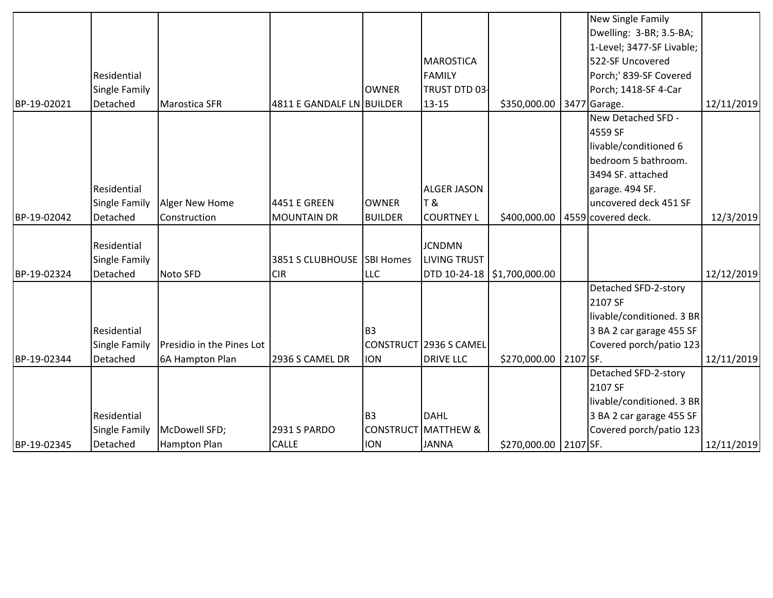|             |                      |                           |                            |                  |                        |                               |          | New Single Family         |            |
|-------------|----------------------|---------------------------|----------------------------|------------------|------------------------|-------------------------------|----------|---------------------------|------------|
|             |                      |                           |                            |                  |                        |                               |          | Dwelling: 3-BR; 3.5-BA;   |            |
|             |                      |                           |                            |                  |                        |                               |          | 1-Level; 3477-SF Livable; |            |
|             |                      |                           |                            |                  | <b>MAROSTICA</b>       |                               |          | 522-SF Uncovered          |            |
|             | Residential          |                           |                            |                  | FAMILY                 |                               |          | Porch;' 839-SF Covered    |            |
|             | <b>Single Family</b> |                           |                            | <b>OWNER</b>     | TRUST DTD 03-          |                               |          | Porch; 1418-SF 4-Car      |            |
| BP-19-02021 | Detached             | <b>Marostica SFR</b>      | 4811 E GANDALF LN BUILDER  |                  | $13 - 15$              | \$350,000.00                  |          | 3477 Garage.              | 12/11/2019 |
|             |                      |                           |                            |                  |                        |                               |          | New Detached SFD -        |            |
|             |                      |                           |                            |                  |                        |                               |          | 4559 SF                   |            |
|             |                      |                           |                            |                  |                        |                               |          | livable/conditioned 6     |            |
|             |                      |                           |                            |                  |                        |                               |          | bedroom 5 bathroom.       |            |
|             |                      |                           |                            |                  |                        |                               |          | 3494 SF. attached         |            |
|             | Residential          |                           |                            |                  | <b>ALGER JASON</b>     |                               |          | garage. 494 SF.           |            |
|             | <b>Single Family</b> | Alger New Home            | 4451 E GREEN               | <b>OWNER</b>     | IT &                   |                               |          | uncovered deck 451 SF     |            |
| BP-19-02042 | Detached             | Construction              | <b>MOUNTAIN DR</b>         | <b>BUILDER</b>   | <b>COURTNEY L</b>      | \$400,000.00                  |          | 4559 covered deck.        | 12/3/2019  |
|             |                      |                           |                            |                  |                        |                               |          |                           |            |
|             | Residential          |                           |                            |                  | <b>JCNDMN</b>          |                               |          |                           |            |
|             | <b>Single Family</b> |                           | 3851 S CLUBHOUSE SBI Homes |                  | <b>LIVING TRUST</b>    |                               |          |                           |            |
| BP-19-02324 | Detached             | Noto SFD                  | <b>CIR</b>                 | <b>LLC</b>       |                        | DTD 10-24-18   \$1,700,000.00 |          |                           | 12/12/2019 |
|             |                      |                           |                            |                  |                        |                               |          | Detached SFD-2-story      |            |
|             |                      |                           |                            |                  |                        |                               |          | 2107 SF                   |            |
|             |                      |                           |                            |                  |                        |                               |          | livable/conditioned. 3 BR |            |
|             | Residential          |                           |                            | B <sub>3</sub>   |                        |                               |          | 3 BA 2 car garage 455 SF  |            |
|             | <b>Single Family</b> | Presidio in the Pines Lot |                            |                  | CONSTRUCT 2936 S CAMEL |                               |          | Covered porch/patio 123   |            |
| BP-19-02344 | Detached             | 6A Hampton Plan           | 2936 S CAMEL DR            | <b>ION</b>       | <b>DRIVE LLC</b>       | \$270,000.00                  | 2107 SF. |                           | 12/11/2019 |
|             |                      |                           |                            |                  |                        |                               |          | Detached SFD-2-story      |            |
|             |                      |                           |                            |                  |                        |                               |          | 2107 SF                   |            |
|             |                      |                           |                            |                  |                        |                               |          | livable/conditioned. 3 BR |            |
|             | Residential          |                           |                            | B <sub>3</sub>   | DAHL                   |                               |          | 3 BA 2 car garage 455 SF  |            |
|             | <b>Single Family</b> | McDowell SFD;             | <b>2931 S PARDO</b>        | <b>CONSTRUCT</b> | MATTHEW &              |                               |          | Covered porch/patio 123   |            |
| BP-19-02345 | Detached             | <b>Hampton Plan</b>       | <b>CALLE</b>               | <b>ION</b>       | <b>JANNA</b>           | \$270,000.00 2107 SF.         |          |                           | 12/11/2019 |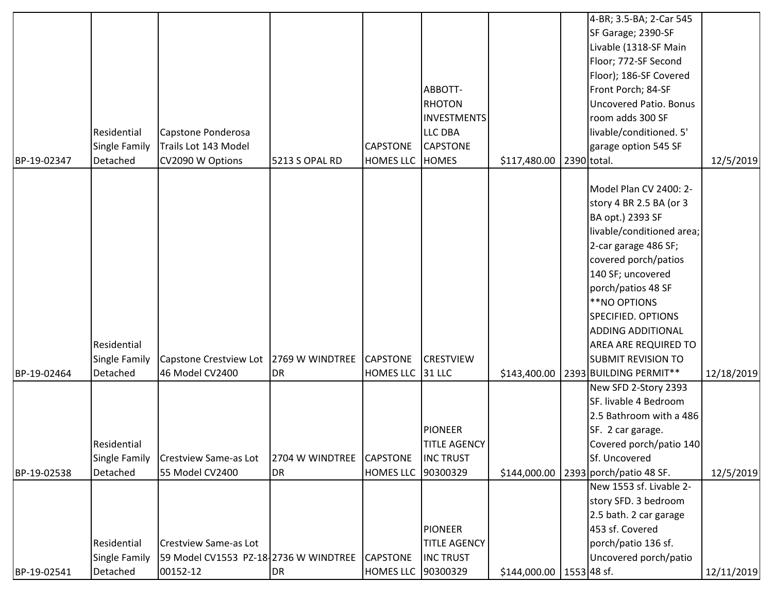| BP-19-02347 | Residential<br>Single Family<br>Detached | Capstone Ponderosa<br>Trails Lot 143 Model<br>CV2090 W Options        | 5213 S OPAL RD  | <b>CAPSTONE</b><br>HOMES LLC HOMES | ABBOTT-<br><b>RHOTON</b><br><b>INVESTMENTS</b><br><b>LLC DBA</b><br><b>CAPSTONE</b> | \$117,480.00 | 4-BR; 3.5-BA; 2-Car 545<br>SF Garage; 2390-SF<br>Livable (1318-SF Main<br>Floor; 772-SF Second<br>Floor); 186-SF Covered<br>Front Porch; 84-SF<br><b>Uncovered Patio. Bonus</b><br>room adds 300 SF<br>livable/conditioned. 5'<br>garage option 545 SF<br>2390 total.                                                | 12/5/2019  |
|-------------|------------------------------------------|-----------------------------------------------------------------------|-----------------|------------------------------------|-------------------------------------------------------------------------------------|--------------|----------------------------------------------------------------------------------------------------------------------------------------------------------------------------------------------------------------------------------------------------------------------------------------------------------------------|------------|
|             | Residential<br>Single Family             | Capstone Crestview Lot 2769 W WINDTREE                                |                 | <b>CAPSTONE</b>                    | <b>CRESTVIEW</b>                                                                    |              | Model Plan CV 2400: 2-<br>story 4 BR 2.5 BA (or 3<br>BA opt.) 2393 SF<br>livable/conditioned area;<br>2-car garage 486 SF;<br>covered porch/patios<br>140 SF; uncovered<br>porch/patios 48 SF<br>**NO OPTIONS<br>SPECIFIED. OPTIONS<br><b>ADDING ADDITIONAL</b><br>AREA ARE REQUIRED TO<br><b>SUBMIT REVISION TO</b> |            |
| BP-19-02464 | Detached                                 | 46 Model CV2400                                                       | DR              | <b>HOMES LLC</b>                   | $31$ LLC                                                                            | \$143,400.00 | 2393 BUILDING PERMIT**                                                                                                                                                                                                                                                                                               | 12/18/2019 |
|             | Residential<br>Single Family             | <b>Crestview Same-as Lot</b>                                          | 2704 W WINDTREE | <b>CAPSTONE</b>                    | <b>PIONEER</b><br><b>TITLE AGENCY</b><br><b>INC TRUST</b>                           |              | New SFD 2-Story 2393<br>SF. livable 4 Bedroom<br>2.5 Bathroom with a 486<br>SF. 2 car garage.<br>Covered porch/patio 140<br>Sf. Uncovered                                                                                                                                                                            |            |
| BP-19-02538 | Detached                                 | 55 Model CV2400                                                       | DR              | <b>HOMES LLC</b>                   | 90300329<br><b>PIONEER</b>                                                          | \$144,000.00 | 2393 porch/patio 48 SF.<br>New 1553 sf. Livable 2-<br>story SFD. 3 bedroom<br>2.5 bath. 2 car garage<br>453 sf. Covered                                                                                                                                                                                              | 12/5/2019  |
|             | Residential<br>Single Family             | <b>Crestview Same-as Lot</b><br>59 Model CV1553 PZ-18-2736 W WINDTREE |                 | <b>CAPSTONE</b>                    | <b>TITLE AGENCY</b><br><b>INC TRUST</b>                                             |              | porch/patio 136 sf.<br>Uncovered porch/patio                                                                                                                                                                                                                                                                         |            |
| BP-19-02541 | Detached                                 | 00152-12                                                              | DR              | <b>HOMES LLC</b>                   | 90300329                                                                            | \$144,000.00 | 1553 48 sf.                                                                                                                                                                                                                                                                                                          | 12/11/2019 |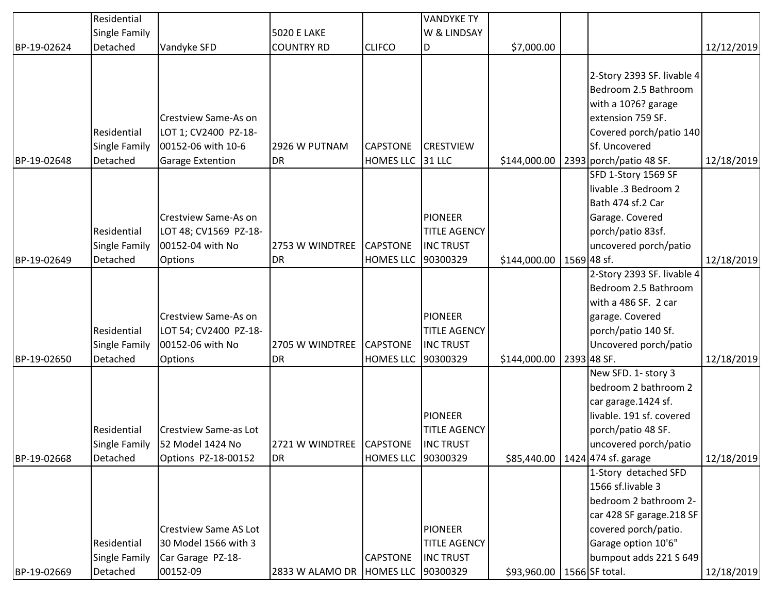|             | Residential          |                              |                                        |                     | <b>VANDYKE TY</b>   |              |                            |            |
|-------------|----------------------|------------------------------|----------------------------------------|---------------------|---------------------|--------------|----------------------------|------------|
|             | Single Family        |                              | <b>5020 E LAKE</b>                     |                     | W & LINDSAY         |              |                            |            |
| BP-19-02624 | Detached             | Vandyke SFD                  | <b>COUNTRY RD</b>                      | <b>CLIFCO</b>       | D                   | \$7,000.00   |                            | 12/12/2019 |
|             |                      |                              |                                        |                     |                     |              |                            |            |
|             |                      |                              |                                        |                     |                     |              | 2-Story 2393 SF. livable 4 |            |
|             |                      |                              |                                        |                     |                     |              | Bedroom 2.5 Bathroom       |            |
|             |                      |                              |                                        |                     |                     |              | with a 10?6? garage        |            |
|             |                      | <b>Crestview Same-As on</b>  |                                        |                     |                     |              | extension 759 SF.          |            |
|             | Residential          | LOT 1; CV2400 PZ-18-         |                                        |                     |                     |              | Covered porch/patio 140    |            |
|             | <b>Single Family</b> | 00152-06 with 10-6           | 2926 W PUTNAM                          | <b>CAPSTONE</b>     | <b>CRESTVIEW</b>    |              | Sf. Uncovered              |            |
| BP-19-02648 | Detached             | <b>Garage Extention</b>      | <b>DR</b>                              | <b>HOMES LLC</b>    | 31 LLC              | \$144,000.00 | 2393 porch/patio 48 SF.    | 12/18/2019 |
|             |                      |                              |                                        |                     |                     |              | SFD 1-Story 1569 SF        |            |
|             |                      |                              |                                        |                     |                     |              | livable .3 Bedroom 2       |            |
|             |                      |                              |                                        |                     |                     |              | Bath 474 sf.2 Car          |            |
|             |                      | <b>Crestview Same-As on</b>  |                                        |                     | <b>PIONEER</b>      |              | Garage. Covered            |            |
|             | Residential          | LOT 48; CV1569 PZ-18-        |                                        |                     | <b>TITLE AGENCY</b> |              | porch/patio 83sf.          |            |
|             | <b>Single Family</b> | 00152-04 with No             | 2753 W WINDTREE                        | <b>CAPSTONE</b>     | <b>INC TRUST</b>    |              | uncovered porch/patio      |            |
| BP-19-02649 | Detached             | <b>Options</b>               | <b>DR</b>                              | <b>HOMES LLC</b>    | 90300329            | \$144,000.00 | 1569 48 sf.                | 12/18/2019 |
|             |                      |                              |                                        |                     |                     |              | 2-Story 2393 SF. livable 4 |            |
|             |                      |                              |                                        |                     |                     |              | Bedroom 2.5 Bathroom       |            |
|             |                      |                              |                                        |                     |                     |              | with a 486 SF. 2 car       |            |
|             |                      | <b>Crestview Same-As on</b>  |                                        |                     | <b>PIONEER</b>      |              | garage. Covered            |            |
|             | Residential          | LOT 54; CV2400 PZ-18-        |                                        |                     | <b>TITLE AGENCY</b> |              | porch/patio 140 Sf.        |            |
|             | <b>Single Family</b> | 00152-06 with No             | 2705 W WINDTREE                        | <b>CAPSTONE</b>     | <b>INC TRUST</b>    |              | Uncovered porch/patio      |            |
| BP-19-02650 | Detached             | <b>Options</b>               | <b>DR</b>                              | <b>HOMES LLC</b>    | 90300329            | \$144,000.00 | 2393 48 SF.                | 12/18/2019 |
|             |                      |                              |                                        |                     |                     |              | New SFD. 1- story 3        |            |
|             |                      |                              |                                        |                     |                     |              | bedroom 2 bathroom 2       |            |
|             |                      |                              |                                        |                     |                     |              | car garage.1424 sf.        |            |
|             |                      |                              |                                        |                     | <b>PIONEER</b>      |              | livable. 191 sf. covered   |            |
|             | Residential          | Crestview Same-as Lot        |                                        |                     | <b>TITLE AGENCY</b> |              | porch/patio 48 SF.         |            |
|             | Single Family        | 52 Model 1424 No             | 2721 W WINDTREE CAPSTONE               |                     | <b>INC TRUST</b>    |              | uncovered porch/patio      |            |
| BP-19-02668 | Detached             | Options PZ-18-00152          | <b>DR</b>                              | HOMES LLC  90300329 |                     | \$85,440.00  | 1424 474 sf. garage        | 12/18/2019 |
|             |                      |                              |                                        |                     |                     |              | 1-Story detached SFD       |            |
|             |                      |                              |                                        |                     |                     |              | 1566 sf.livable 3          |            |
|             |                      |                              |                                        |                     |                     |              | bedroom 2 bathroom 2-      |            |
|             |                      |                              |                                        |                     |                     |              | car 428 SF garage.218 SF   |            |
|             |                      | <b>Crestview Same AS Lot</b> |                                        |                     | <b>PIONEER</b>      |              | covered porch/patio.       |            |
|             | Residential          | 30 Model 1566 with 3         |                                        |                     | <b>TITLE AGENCY</b> |              | Garage option 10'6"        |            |
|             | <b>Single Family</b> | Car Garage PZ-18-            |                                        | <b>CAPSTONE</b>     | <b>INC TRUST</b>    |              | bumpout adds 221 S 649     |            |
| BP-19-02669 | Detached             | 00152-09                     | 2833 W ALAMO DR   HOMES LLC   90300329 |                     |                     | \$93,960.00  | 1566 SF total.             | 12/18/2019 |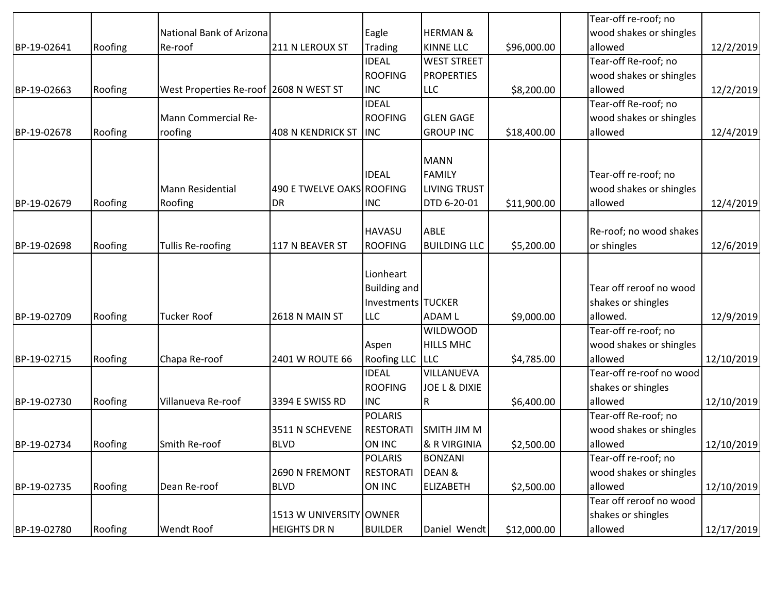|             |         |                                        |                           |                                           |                          |             | Tear-off re-roof; no     |            |
|-------------|---------|----------------------------------------|---------------------------|-------------------------------------------|--------------------------|-------------|--------------------------|------------|
|             |         | National Bank of Arizona               |                           | Eagle                                     | <b>HERMAN &amp;</b>      |             | wood shakes or shingles  |            |
| BP-19-02641 | Roofing | Re-roof                                | 211 N LEROUX ST           | <b>Trading</b>                            | <b>KINNE LLC</b>         | \$96,000.00 | allowed                  | 12/2/2019  |
|             |         |                                        |                           | <b>IDEAL</b>                              | <b>WEST STREET</b>       |             | Tear-off Re-roof; no     |            |
|             |         |                                        |                           | <b>ROOFING</b>                            | <b>PROPERTIES</b>        |             | wood shakes or shingles  |            |
| BP-19-02663 | Roofing | West Properties Re-roof 2608 N WEST ST |                           | <b>INC</b>                                | <b>LLC</b>               | \$8,200.00  | allowed                  | 12/2/2019  |
|             |         |                                        |                           | <b>IDEAL</b>                              |                          |             | Tear-off Re-roof; no     |            |
|             |         | Mann Commercial Re-                    |                           | <b>ROOFING</b>                            | <b>GLEN GAGE</b>         |             | wood shakes or shingles  |            |
| BP-19-02678 | Roofing | roofing                                | 408 N KENDRICK ST         | <b>INC</b>                                | <b>GROUP INC</b>         | \$18,400.00 | allowed                  | 12/4/2019  |
|             |         |                                        |                           |                                           |                          |             |                          |            |
|             |         |                                        |                           |                                           | <b>MANN</b>              |             |                          |            |
|             |         |                                        |                           | <b>IDEAL</b>                              | <b>FAMILY</b>            |             | Tear-off re-roof; no     |            |
|             |         | <b>Mann Residential</b>                | 490 E TWELVE OAKS ROOFING |                                           | <b>LIVING TRUST</b>      |             | wood shakes or shingles  |            |
| BP-19-02679 | Roofing | Roofing                                | <b>DR</b>                 | <b>INC</b>                                | DTD 6-20-01              | \$11,900.00 | allowed                  | 12/4/2019  |
|             |         |                                        |                           |                                           |                          |             |                          |            |
|             |         |                                        |                           | <b>HAVASU</b>                             | <b>ABLE</b>              |             | Re-roof; no wood shakes  |            |
| BP-19-02698 | Roofing | <b>Tullis Re-roofing</b>               | 117 N BEAVER ST           | <b>ROOFING</b>                            | <b>BUILDING LLC</b>      | \$5,200.00  | or shingles              | 12/6/2019  |
|             |         |                                        |                           | Lionheart                                 |                          |             |                          |            |
|             |         |                                        |                           |                                           |                          |             | Tear off reroof no wood  |            |
|             |         |                                        |                           | <b>Building and</b><br>Investments TUCKER |                          |             |                          |            |
|             |         |                                        |                           |                                           |                          |             | shakes or shingles       |            |
| BP-19-02709 | Roofing | <b>Tucker Roof</b>                     | 2618 N MAIN ST            | LLC                                       | <b>ADAM L</b>            | \$9,000.00  | allowed.                 | 12/9/2019  |
|             |         |                                        |                           |                                           | <b>WILDWOOD</b>          |             | Tear-off re-roof; no     |            |
|             |         |                                        |                           | Aspen                                     | <b>HILLS MHC</b>         |             | wood shakes or shingles  |            |
| BP-19-02715 | Roofing | Chapa Re-roof                          | 2401 W ROUTE 66           | Roofing LLC LLC                           |                          | \$4,785.00  | allowed                  | 12/10/2019 |
|             |         |                                        |                           | <b>IDEAL</b>                              | VILLANUEVA               |             | Tear-off re-roof no wood |            |
|             |         |                                        |                           | <b>ROOFING</b>                            | <b>JOE L &amp; DIXIE</b> |             | shakes or shingles       |            |
| BP-19-02730 | Roofing | Villanueva Re-roof                     | 3394 E SWISS RD           | <b>INC</b>                                | R                        | \$6,400.00  | allowed                  | 12/10/2019 |
|             |         |                                        |                           | <b>POLARIS</b>                            |                          |             | Tear-off Re-roof; no     |            |
|             |         |                                        | 3511 N SCHEVENE           | <b>RESTORAT</b>                           | SMITH JIM M              |             | wood shakes or shingles  |            |
| BP-19-02734 | Roofing | Smith Re-roof                          | <b>BLVD</b>               | ON INC                                    | & R VIRGINIA             | \$2,500.00  | allowed                  | 12/10/2019 |
|             |         |                                        |                           | <b>POLARIS</b>                            | <b>BONZANI</b>           |             | Tear-off re-roof; no     |            |
|             |         |                                        | 2690 N FREMONT            | <b>RESTORATI</b>                          | DEAN &                   |             | wood shakes or shingles  |            |
| BP-19-02735 | Roofing | Dean Re-roof                           | <b>BLVD</b>               | ON INC                                    | ELIZABETH                | \$2,500.00  | allowed                  | 12/10/2019 |
|             |         |                                        |                           |                                           |                          |             | Tear off reroof no wood  |            |
|             |         |                                        | 1513 W UNIVERSITY OWNER   |                                           |                          |             | shakes or shingles       |            |
| BP-19-02780 | Roofing | Wendt Roof                             | <b>HEIGHTS DR N</b>       | <b>BUILDER</b>                            | Daniel Wendt             | \$12,000.00 | allowed                  | 12/17/2019 |